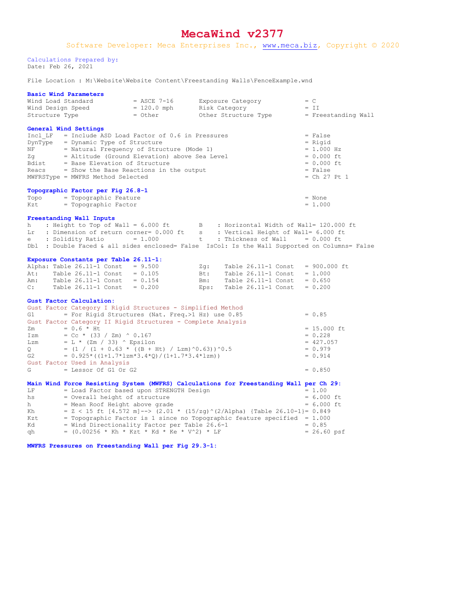## **MecaWind v2377**

Calculations Prepared by: Date: Feb 26, 2021

File Location : M:\Website\Website Content\Freestanding Walls\FenceExample.wnd

## **Basic Wind Parameters**

| Wind Load Standard                                                                                                                                              | = ASCE 7-16                  |            | Exposure Category                                                            | $= C$                 |  |  |  |  |  |  |
|-----------------------------------------------------------------------------------------------------------------------------------------------------------------|------------------------------|------------|------------------------------------------------------------------------------|-----------------------|--|--|--|--|--|--|
| Wind Design Speed                                                                                                                                               | $= 120.0$ mph                |            | Risk Category                                                                | $= II$                |  |  |  |  |  |  |
| Structure Type                                                                                                                                                  | = Other                      |            | Other Structure Type                                                         | = Freestanding Wall   |  |  |  |  |  |  |
|                                                                                                                                                                 |                              |            |                                                                              |                       |  |  |  |  |  |  |
| General Wind Settings                                                                                                                                           |                              |            |                                                                              |                       |  |  |  |  |  |  |
| Incl $LF = Include ASD Load Factor of 0.6 in Pressures$                                                                                                         | = False                      |            |                                                                              |                       |  |  |  |  |  |  |
| DynType = Dynamic Type of Structure                                                                                                                             | $=$ Rigid                    |            |                                                                              |                       |  |  |  |  |  |  |
| NF = Natural Frequency of Structure (Mode 1)                                                                                                                    | $= 1.000 Hz$                 |            |                                                                              |                       |  |  |  |  |  |  |
| Zg<br>= Altitude (Ground Elevation) above Sea Level<br>= Base Elevation of Structure                                                                            | $= 0.000$ ft<br>$= 0.000$ ft |            |                                                                              |                       |  |  |  |  |  |  |
| Bdist<br>Reacs $=$ Show the Base Reactions in the output                                                                                                        | = False                      |            |                                                                              |                       |  |  |  |  |  |  |
| MWFRSType = MWFRS Method Selected                                                                                                                               | $=$ Ch 27 Pt 1               |            |                                                                              |                       |  |  |  |  |  |  |
|                                                                                                                                                                 |                              |            |                                                                              |                       |  |  |  |  |  |  |
| Topographic Factor per Fig 26.8-1                                                                                                                               |                              |            |                                                                              |                       |  |  |  |  |  |  |
| = Topographic Feature<br>Topo                                                                                                                                   |                              |            |                                                                              | = None                |  |  |  |  |  |  |
| = Topographic Factor<br>Kzt                                                                                                                                     |                              |            |                                                                              | $= 1.000$             |  |  |  |  |  |  |
|                                                                                                                                                                 |                              |            |                                                                              |                       |  |  |  |  |  |  |
| Freestanding Wall Inputs                                                                                                                                        |                              |            |                                                                              |                       |  |  |  |  |  |  |
| : Height to Top of Wall = 6.000 ft<br>: Dimension of return corner= 0.000 ft<br>: Vertical Height of Wall= 6.000 ft<br>: Vertical Height of Wall= 6.000 ft<br>h |                              |            |                                                                              |                       |  |  |  |  |  |  |
| Lr                                                                                                                                                              |                              |            |                                                                              |                       |  |  |  |  |  |  |
| : Solidity Ratio<br>e l                                                                                                                                         | $= 1.000$                    |            | $t$ : Thickness of Wall = 0.000 ft                                           |                       |  |  |  |  |  |  |
| Dbl : Double Faced & all sides enclosed= False IsCol: Is the Wall Supported on Columns= False                                                                   |                              |            |                                                                              |                       |  |  |  |  |  |  |
|                                                                                                                                                                 |                              |            |                                                                              |                       |  |  |  |  |  |  |
| Exposure Constants per Table 26.11-1:                                                                                                                           |                              |            |                                                                              |                       |  |  |  |  |  |  |
| Alpha: Table $26.11-1$ Const = $9.500$<br>Table $26.11-1$ Const = $0.105$                                                                                       |                              | Zq:<br>Bt: | Table $26.11-1$ Const = 900.000 ft                                           |                       |  |  |  |  |  |  |
| At:<br>Table $26.11-1$ Const = $0.154$<br>Am:                                                                                                                   |                              | $Bm$ :     | Table $26.11-1$ Const = 1.000<br>Table $26.11-1$ Const = 0.650               |                       |  |  |  |  |  |  |
| Table $26.11-1$ Const = $0.200$<br>C:                                                                                                                           |                              | Eps:       | Table $26.11-1$ Const = 0.200                                                |                       |  |  |  |  |  |  |
|                                                                                                                                                                 |                              |            |                                                                              |                       |  |  |  |  |  |  |
| Gust Factor Calculation:                                                                                                                                        |                              |            |                                                                              |                       |  |  |  |  |  |  |
| Gust Factor Category I Rigid Structures - Simplified Method                                                                                                     |                              |            |                                                                              |                       |  |  |  |  |  |  |
| = For Rigid Structures (Nat. Freq.>1 Hz) use 0.85<br>G1                                                                                                         |                              |            |                                                                              | $= 0.85$              |  |  |  |  |  |  |
| Gust Factor Category II Rigid Structures - Complete Analysis                                                                                                    |                              |            |                                                                              |                       |  |  |  |  |  |  |
| $= 0.6 * Ht$<br>Zm                                                                                                                                              |                              |            |                                                                              | $= 15.000$ ft         |  |  |  |  |  |  |
| $= Cc * (33 / Zm) * 0.167$<br>Izm                                                                                                                               |                              |            |                                                                              | $= 0.228$             |  |  |  |  |  |  |
| = L * (Zm / 33) ^ Epsilon<br>Lzm                                                                                                                                | $= 427.057$                  |            |                                                                              |                       |  |  |  |  |  |  |
| Q<br>$=$ (1 / (1 + 0.63 * ((B + Ht) / Lzm)^0.63))^0.5                                                                                                           | $= 0.979$                    |            |                                                                              |                       |  |  |  |  |  |  |
| $= 0.925*( (1+1.7*1zm*3.4*Q) / (1+1.7*3.4*1zm))$<br>G2                                                                                                          | $= 0.914$                    |            |                                                                              |                       |  |  |  |  |  |  |
| Gust Factor Used in Analysis                                                                                                                                    |                              |            |                                                                              |                       |  |  |  |  |  |  |
| = Lessor Of G1 Or G2<br>G                                                                                                                                       |                              |            |                                                                              | $= 0.850$             |  |  |  |  |  |  |
|                                                                                                                                                                 |                              |            |                                                                              |                       |  |  |  |  |  |  |
| Main Wind Force Resisting System (MWFRS) Calculations for Freestanding Wall per Ch 29:<br>= Load Factor based upon STRENGTH Design<br>LF                        |                              |            |                                                                              | $= 1.00$              |  |  |  |  |  |  |
| = Overall height of structure<br>hs                                                                                                                             |                              |            |                                                                              | $= 6.000$ ft          |  |  |  |  |  |  |
| = Mean Roof Height above grade<br>h -                                                                                                                           |                              |            |                                                                              | $= 6.000$ ft          |  |  |  |  |  |  |
| Kh                                                                                                                                                              |                              |            | = $Z$ < 15 ft [4.572 m]--> (2.01 * (15/zg) ^(2/Alpha) {Table 26.10-1}= 0.849 |                       |  |  |  |  |  |  |
| Kzt                                                                                                                                                             |                              |            | = Topographic Factor is 1 since no Topographic feature specified = $1.000$   |                       |  |  |  |  |  |  |
| = Wind Directionality Factor per Table 26.6-1<br>Kd                                                                                                             | $= 0.85$                     |            |                                                                              |                       |  |  |  |  |  |  |
| = $(0.00256 * Kh * Kzt * Kd * Ke * V^2) * LF$<br>qh                                                                                                             |                              |            |                                                                              | $= 26.60 \text{ psf}$ |  |  |  |  |  |  |
|                                                                                                                                                                 |                              |            |                                                                              |                       |  |  |  |  |  |  |
| MWFRS Pressures on Freestanding Wall per Fig 29.3-1:                                                                                                            |                              |            |                                                                              |                       |  |  |  |  |  |  |